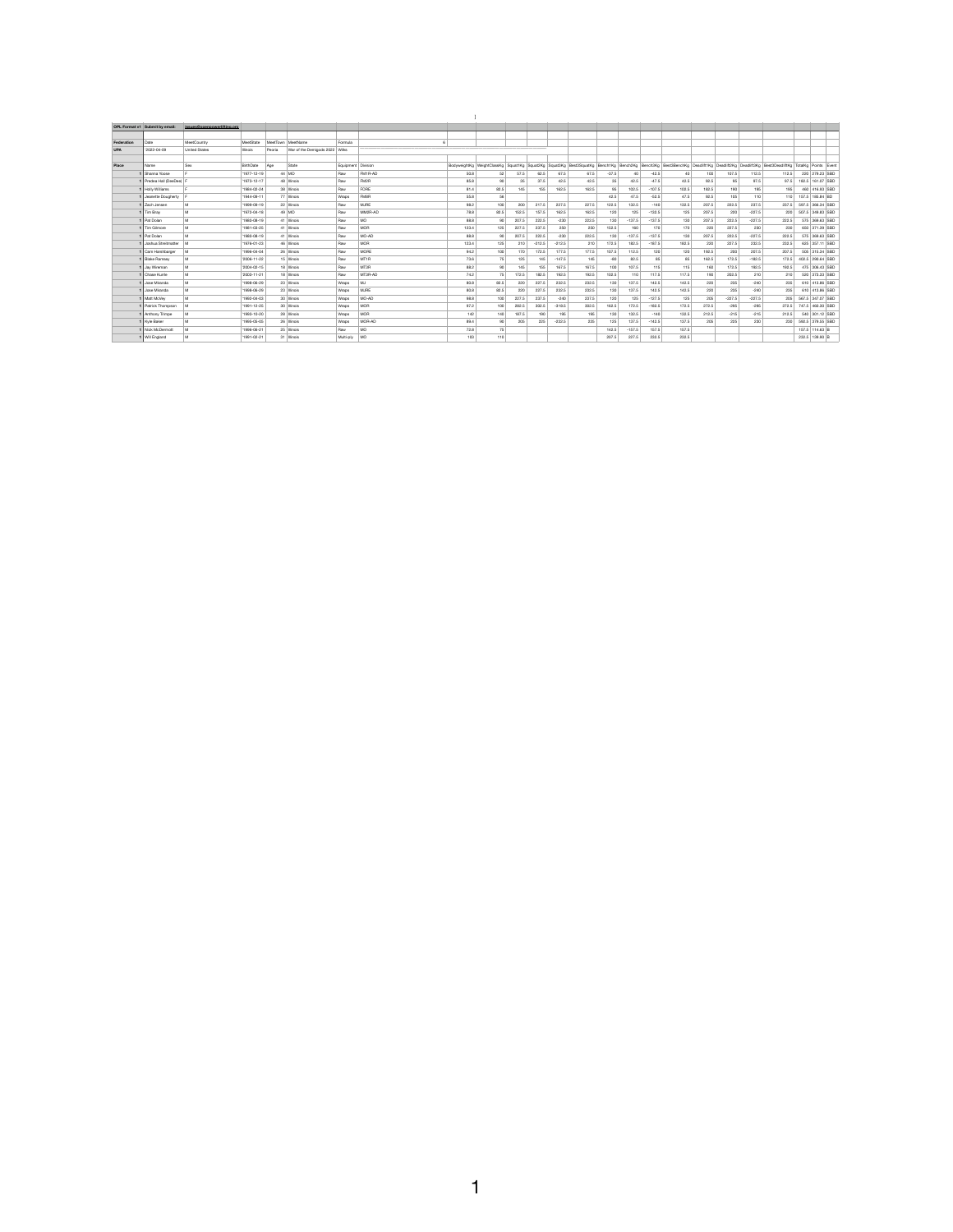]

 $\blacktriangleleft$ 

|            | <b>OPL Format v1 Submit by email:</b> | issues@openpowerlifting.org |                    |                                |                      |                  |                            |      |         |          |          |       |         |          |          |                                                                                                                                                           |       |          |          |       |                        |
|------------|---------------------------------------|-----------------------------|--------------------|--------------------------------|----------------------|------------------|----------------------------|------|---------|----------|----------|-------|---------|----------|----------|-----------------------------------------------------------------------------------------------------------------------------------------------------------|-------|----------|----------|-------|------------------------|
|            |                                       |                             |                    |                                |                      |                  |                            |      |         |          |          |       |         |          |          |                                                                                                                                                           |       |          |          |       |                        |
| Federation | Date                                  | MeetCountry                 | MeetState          | MeetTown   MeetName            | Formula              |                  |                            |      |         |          |          |       |         |          |          |                                                                                                                                                           |       |          |          |       |                        |
| <b>UPA</b> | '2022-04-09                           | <b>United States</b>        | Illinois<br>Peoria | War of the Demigods 2022 Wilks |                      |                  |                            |      |         |          |          |       |         |          |          |                                                                                                                                                           |       |          |          |       |                        |
|            |                                       |                             |                    |                                |                      |                  |                            |      |         |          |          |       |         |          |          |                                                                                                                                                           |       |          |          |       |                        |
| Place      | Name                                  | Sex                         | BirthDate<br>Age   | State                          | Equipment   Division |                  | BodyweightKg WeightClassKg |      |         |          |          |       |         |          |          | Squat1Kg   Squat2Kg   Squat3Kg   Best3SquatKg   Bench1Kg   Bench2Kg   Bench3Kg   Best3BenchKg   Deadlift1Kg   Deadlift2Kg   Deadlift3Kg   Best3DeadliftKg |       |          |          |       | TotalKg Points Event   |
|            | Shanna Yoose                          |                             | $'1977-12-19$      | $44 \mid \text{MO}$            | Raw                  | FM1R-AD          | 50.8                       | 52   | 57.5    | 62.5     | 67.5     | 67.5  | $-37.5$ | 40       | $-42.5$  | 40                                                                                                                                                        | 100   | 107.5    | 112.5    | 112.5 | 220 279.23 SBD         |
|            | Predea Hall (DeeDee)                  |                             | '1973-12-17        | 48 Illinois                    | Raw                  | FM <sub>2R</sub> | 85.8                       | 90   | 35      | 37.5     | 42.5     | 42.5  | 35      | 42.5     | $-47.5$  | 42.5                                                                                                                                                      | 92.5  | 95       | 97.5     | 97.5  | 182.5 161.07 SBD       |
|            | Holly Williams                        |                             | '1984-02-24        | 38 Illinois                    | Raw                  | FORE             | 81.4                       | 82.5 | 145     | 155      | 162.5    | 162.5 | 95      | 102.5    | $-107.5$ | 102.5                                                                                                                                                     | 182.5 | 190      | 195      | 195   | 460 416.93 SBD         |
|            | <b>1</b> Jeanette Dougherty           |                             | $'1944-09-11$      | 77 Illinois                    | Wraps                | FM8R             | 55.8                       | 56   |         |          |          |       | 42.5    | 47.5     | $-52.5$  | 47.5                                                                                                                                                      | 92.5  | 105      | 110      | 110   | 157.5 185.84 BD        |
|            | Zach Jensen                           | M                           | '1999-09-19        | 22 Illinois                    | Raw                  | MJRE             | 98.2                       | 100  | 200     | 217.5    | 227.5    | 227.5 | 122.5   | 132.5    | $-140$   | 132.5                                                                                                                                                     | 207.5 | 222.5    | 237.5    | 237.5 | 597.5 366.34 SBD       |
|            | Tim Bray                              | M                           | '1972-04-18        | 49 MO                          | Raw                  | MM2R-AD          | 78.8                       | 82.5 | 152.5   | 157.5    | 162.5    | 162.5 | 120     | 125      | $-132.5$ | 125                                                                                                                                                       | 207.5 | 220      | $-227.5$ | 220   | 507.5 349.83 SBD       |
|            | Pat Dolan                             | M                           | '1980-08-19        | 41 Illinois                    | Raw                  | MO               | 88.8                       | 90   | 207.5   | 222.5    | $-230$   | 222.5 | 130     | $-137.5$ | $-137.5$ | 130                                                                                                                                                       | 207.5 | 222.5    | $-227.5$ | 222.5 | 575 369.63 SBD         |
|            | Tim Gilmore                           | M                           | '1981-03-25        | 41 Illinois                    | Raw                  | MOR              | 123.4                      | 125  | 227.5   | 237.5    | 250      | 250   | 152.5   | 160      | 170      | 170                                                                                                                                                       | 220   | 227.5    | 230      | 230   | 650 371.39 SBD         |
|            | Pat Dolan                             | M                           | '1980-08-19        | 41 Illinois                    | Raw                  | MO-AD            | 88.8                       | 90   | 207.5   | 222.5    | $-230$   | 222.5 | 130     | $-137.5$ | $-137.5$ | 130                                                                                                                                                       | 207.5 | 222.5    | $-227.5$ | 222.5 | 575 369.63 SBD         |
|            | 1 Joshua Streitmatter                 | l M                         | '1976-01-23        | 46 Illinois                    | Raw                  | MOR              | 123.4                      | 125  | 210     | $-212.5$ | $-212.5$ | 210   | 172.5   | 182.5    | $-187.5$ | 182.5                                                                                                                                                     | 220   | 227.5    | 232.5    | 232.5 | 625 357.11 SBD         |
|            | Cam Harshbarger                       | $\blacksquare$              | '1996-04-04        | 26 Illinois                    | Raw                  | <b>MORE</b>      | 94.2                       | 100  | 170     | 172.5    | 177.5    | 177.5 | 107.5   | 112.5    | 120      | 120                                                                                                                                                       | 192.5 | 200      | 207.5    | 207.5 | 505 315.34 SBD         |
|            | <b>Blake Ramsey</b>                   | M                           | '2006-11-22        | 15 Illinois                    | Raw                  | MT <sub>1R</sub> | 73.6                       | 75   | 125     | 145      | $-147.5$ | 145   | -80     | 82.5     | 85       | 85                                                                                                                                                        | 162.5 | 172.5    | $-182.5$ | 172.5 | 402.5 290.64 SBD       |
|            | Jay Wireman                           | M                           | '2004-02-15        | 18 Illinois                    | Raw                  | MT3R             | 88.2                       | 90   | 145     | 155      | 167.5    | 167.5 | 100     | 107.5    | 115      | 115                                                                                                                                                       | 160   | 172.5    | 192.5    | 192.5 | 475 306.43 SBD         |
|            | Chase Kurrle                          | M                           | '2003-11-21        | 18 Illinois                    | Raw                  | MT3R-AD          | 74.2                       | 75   | 172.5   | 182.5    | 192.5    | 192.5 | 102.5   | 110      | 117.5    | 117.5                                                                                                                                                     | 190   | 202.5    | 210      | 210   | 520 373.33 SBD         |
|            | Jose Miranda                          | M                           | '1998-06-29        | 23 Illinois                    | Wraps                | MJ               | 80.8                       | 82.5 | 220     | 227.5    | 232.5    | 232.5 | 130     | 137.5    | 142.5    | 142.5                                                                                                                                                     | 220   | 235      | $-240$   | 235   | 610 413.86 SBD         |
|            | Jose Miranda                          | M                           | '1998-06-29        | 23 Illinois                    | Wraps                | <b>MJRE</b>      | 80.8                       | 82.5 | 220 $ $ | 227.5    | 232.5    | 232.5 | 130     | 137.5    | 142.5    | 142.5                                                                                                                                                     | 220   | 235      | $-240$   | 235   | 610 413.86 SBD         |
|            | $1$ Matt McVey                        | M                           | '1992-04-03        | 30 Illinois                    | Wraps                | MO-AD            | 98.8                       | 100  | 227.5   | 237.5    | $-240$   | 237.5 | 120     | 125      | $-127.5$ | 125                                                                                                                                                       | 205   | $-227.5$ | $-227.5$ |       | 205 567.5 347.07 SBD   |
|            | 1   Patrick Thompson                  | $\overline{M}$              | '1991-12-25        | 30 Illinois                    | Wraps                | MOR              | 97.2                       | 100  | 282.5   | 302.5    | $-318.5$ | 302.5 | 162.5   | 172.5    | $-182.5$ | 172.5                                                                                                                                                     | 272.5 | $-295$   | $-295$   |       | 272.5 747.5 460.30 SBD |
|            | 1   Anthony Trimpe                    | ${\sf M}$                   | '1993-10-20        | 28 Illinois                    | Wraps                | MOR              | 142                        | 140  | 187.5   | 190      | 195      | 195   | 130     | 132.5    | $-140$   | 132.5                                                                                                                                                     | 212.5 | $-215$   | $-215$   | 212.5 | 540 301.12 SBD         |
|            | Kyle Baker                            | M                           | '1995-05-05        | 26 Illinois                    | Wraps                | MOR-AD           | 89.4                       | 90   | 205     | 225      | $-232.5$ | 225   | 125     | 137.5    | $-142.5$ | 137.5                                                                                                                                                     | 205   | 225      | 230      | 230   | 592.5 379.55 SBD       |
|            | Nick McDermott                        | M                           | '1996-06-21        | 25 Illinois                    | Raw                  | MO               | 72.8                       | 75   |         |          |          |       | 142.5   | $-157.5$ | 157.5    | 157.5                                                                                                                                                     |       |          |          |       | $157.5$ 114.63 B       |
|            | 1   Will England                      | M                           | '1991-02-21        | 31 Illinois                    | Multi-ply   MO       |                  | 103                        | 110  |         |          |          |       | 207.5   | 227.5    | 232.5    | 232.5                                                                                                                                                     |       |          |          |       | 232.5 139.90 B         |